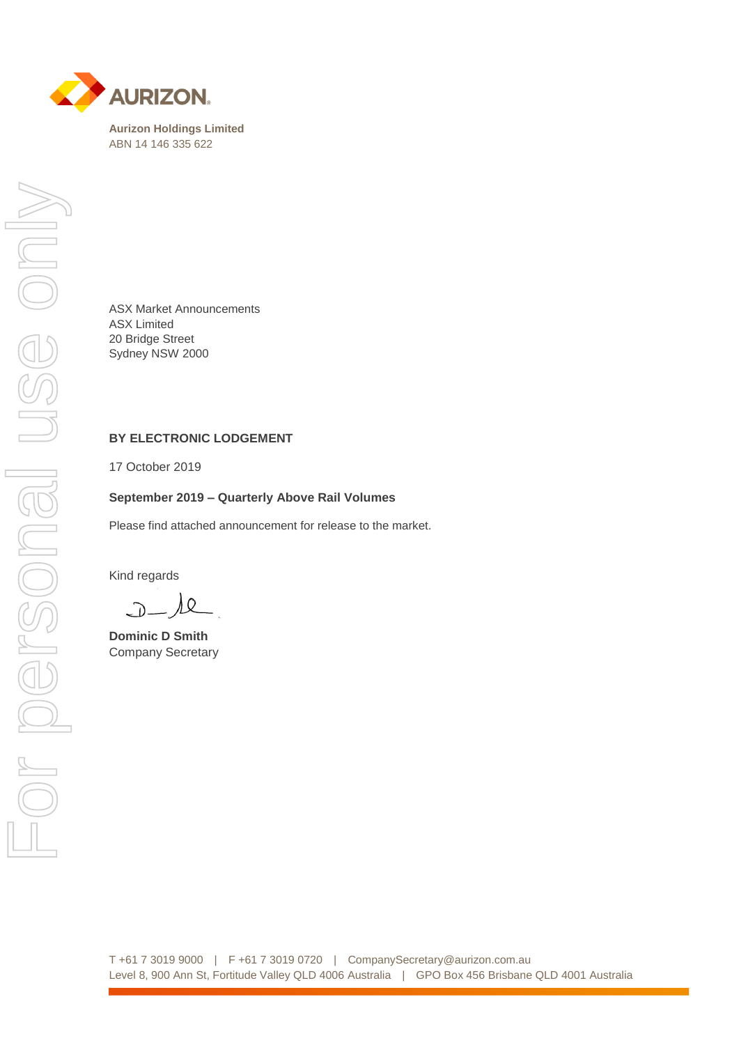

ABN 14 146 335 622

ASX Market Announcements ASX Limited 20 Bridge Street Sydney NSW 2000

### **BY ELECTRONIC LODGEMENT**

17 October 2019

#### **September 2019 – Quarterly Above Rail Volumes**

Please find attached announcement for release to the market.

Kind regards

) Q  $\bigcap$ 

**Dominic D Smith** Company Secretary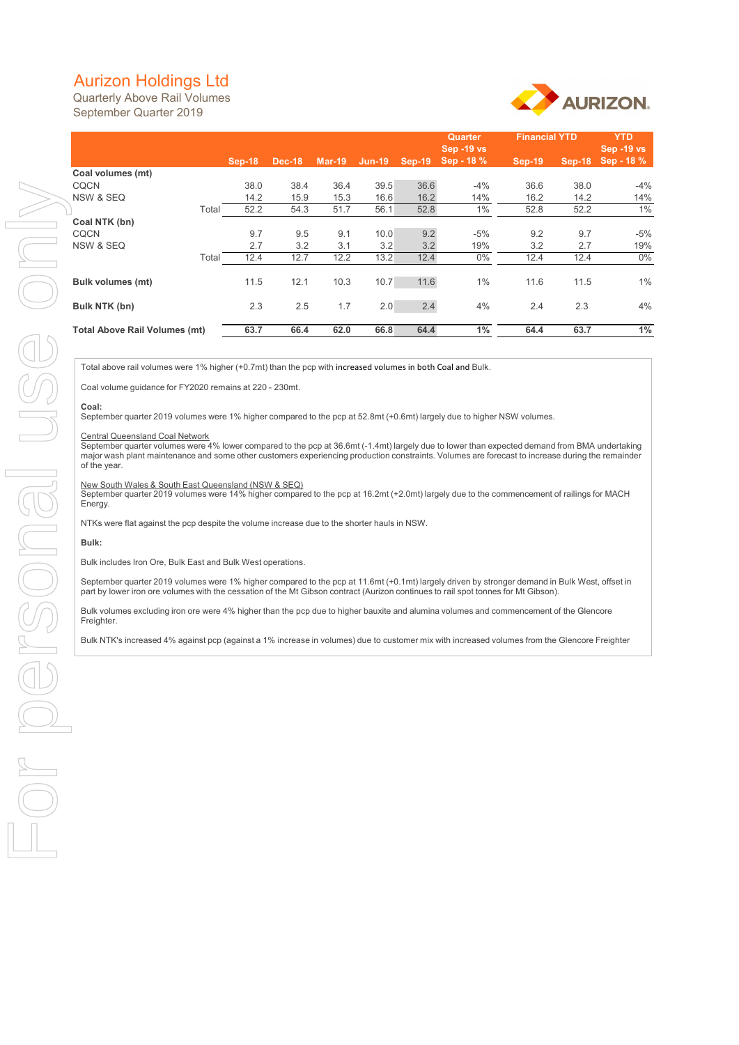# Aurizon Holdings Ltd

Quarterly Above Rail Volumes September Quarter 2019



## **Coal:**

### Central Queensland Coal Network

|                                                                                                                                                                                                                                                                                                   |       |               |               |              |                      |              | <b>Quarter</b>    | <b>Financial YTD</b> |          | <b>YTD</b>        |  |
|---------------------------------------------------------------------------------------------------------------------------------------------------------------------------------------------------------------------------------------------------------------------------------------------------|-------|---------------|---------------|--------------|----------------------|--------------|-------------------|----------------------|----------|-------------------|--|
|                                                                                                                                                                                                                                                                                                   |       |               |               |              |                      |              | <b>Sep -19 vs</b> |                      |          | <b>Sep -19 vs</b> |  |
|                                                                                                                                                                                                                                                                                                   |       | <b>Sep-18</b> | <b>Dec-18</b> |              | Mar-19 Jun-19 Sep-19 |              | Sep - 18 %        | $Sep-19$             | $Sep-18$ | Sep - 18 %        |  |
| Coal volumes (mt)                                                                                                                                                                                                                                                                                 |       |               |               |              |                      |              |                   |                      |          |                   |  |
| <b>CQCN</b>                                                                                                                                                                                                                                                                                       |       | 38.0          | 38.4          | 36.4         | 39.5                 | 36.6         | $-4%$             | 36.6                 | 38.0     | $-4%$             |  |
| NSW & SEQ                                                                                                                                                                                                                                                                                         |       | 14.2<br>52.2  | 15.9          | 15.3<br>51.7 | 16.6<br>56.1         | 16.2<br>52.8 | 14%               | 16.2                 | 14.2     | 14%               |  |
| Coal NTK (bn)                                                                                                                                                                                                                                                                                     | Total |               | 54.3          |              |                      |              | $1\%$             | 52.8                 | 52.2     | $1\%$             |  |
| <b>CQCN</b>                                                                                                                                                                                                                                                                                       |       | 9.7           | 9.5           | 9.1          | 10.0                 | 9.2          | $-5%$             | 9.2                  | 9.7      | $-5%$             |  |
| NSW & SEQ                                                                                                                                                                                                                                                                                         |       | 2.7           | 3.2           | 3.1          | 3.2                  | 3.2          | 19%               | 3.2                  | 2.7      | 19%               |  |
|                                                                                                                                                                                                                                                                                                   | Total | 12.4          | 12.7          | 12.2         | 13.2                 | 12.4         | $0\%$             | 12.4                 | 12.4     | $0\%$             |  |
|                                                                                                                                                                                                                                                                                                   |       |               |               |              |                      |              |                   |                      |          |                   |  |
| <b>Bulk volumes (mt)</b>                                                                                                                                                                                                                                                                          |       | 11.5          | 12.1          | 10.3         | 10.7                 | 11.6         | $1\%$             | 11.6                 | 11.5     | $1\%$             |  |
|                                                                                                                                                                                                                                                                                                   |       |               |               |              |                      |              |                   |                      |          |                   |  |
| <b>Bulk NTK (bn)</b>                                                                                                                                                                                                                                                                              |       | 2.3           | 2.5           | 1.7          | 2.0                  | 2.4          | 4%                | 2.4                  | 2.3      | 4%                |  |
|                                                                                                                                                                                                                                                                                                   |       |               |               |              |                      |              |                   |                      |          |                   |  |
| <b>Total Above Rail Volumes (mt)</b>                                                                                                                                                                                                                                                              |       | 63.7          | 66.4          | 62.0         | 66.8                 | 64.4         | $1\%$             | 64.4                 | 63.7     | $1\%$             |  |
|                                                                                                                                                                                                                                                                                                   |       |               |               |              |                      |              |                   |                      |          |                   |  |
|                                                                                                                                                                                                                                                                                                   |       |               |               |              |                      |              |                   |                      |          |                   |  |
| Total above rail volumes were 1% higher (+0.7mt) than the pcp with increased volumes in both Coal and Bulk.                                                                                                                                                                                       |       |               |               |              |                      |              |                   |                      |          |                   |  |
| Coal volume guidance for FY2020 remains at 220 - 230mt.                                                                                                                                                                                                                                           |       |               |               |              |                      |              |                   |                      |          |                   |  |
|                                                                                                                                                                                                                                                                                                   |       |               |               |              |                      |              |                   |                      |          |                   |  |
| Coal:<br>September quarter 2019 volumes were 1% higher compared to the pcp at 52.8mt (+0.6mt) largely due to higher NSW volumes.                                                                                                                                                                  |       |               |               |              |                      |              |                   |                      |          |                   |  |
|                                                                                                                                                                                                                                                                                                   |       |               |               |              |                      |              |                   |                      |          |                   |  |
| <b>Central Queensland Coal Network</b>                                                                                                                                                                                                                                                            |       |               |               |              |                      |              |                   |                      |          |                   |  |
| September quarter volumes were 4% lower compared to the pcp at 36.6mt (-1.4mt) largely due to lower than expected demand from BMA undertaking<br>major wash plant maintenance and some other customers experiencing production constraints. Volumes are forecast to increase during the remainder |       |               |               |              |                      |              |                   |                      |          |                   |  |
| of the year.                                                                                                                                                                                                                                                                                      |       |               |               |              |                      |              |                   |                      |          |                   |  |
|                                                                                                                                                                                                                                                                                                   |       |               |               |              |                      |              |                   |                      |          |                   |  |
| New South Wales & South East Queensland (NSW & SEQ)                                                                                                                                                                                                                                               |       |               |               |              |                      |              |                   |                      |          |                   |  |
| September quarter 2019 volumes were 14% higher compared to the pcp at 16.2mt (+2.0mt) largely due to the commencement of railings for MACH<br>Energy.                                                                                                                                             |       |               |               |              |                      |              |                   |                      |          |                   |  |
|                                                                                                                                                                                                                                                                                                   |       |               |               |              |                      |              |                   |                      |          |                   |  |
| NTKs were flat against the pcp despite the volume increase due to the shorter hauls in NSW.                                                                                                                                                                                                       |       |               |               |              |                      |              |                   |                      |          |                   |  |
| Bulk:                                                                                                                                                                                                                                                                                             |       |               |               |              |                      |              |                   |                      |          |                   |  |
|                                                                                                                                                                                                                                                                                                   |       |               |               |              |                      |              |                   |                      |          |                   |  |
| Bulk includes Iron Ore, Bulk East and Bulk West operations.                                                                                                                                                                                                                                       |       |               |               |              |                      |              |                   |                      |          |                   |  |
| September quarter 2019 volumes were 1% higher compared to the pcp at 11.6mt (+0.1mt) largely driven by stronger demand in Bulk West, offset in                                                                                                                                                    |       |               |               |              |                      |              |                   |                      |          |                   |  |
| part by lower iron ore volumes with the cessation of the Mt Gibson contract (Aurizon continues to rail spot tonnes for Mt Gibson).                                                                                                                                                                |       |               |               |              |                      |              |                   |                      |          |                   |  |
| Bulk volumes excluding iron ore were 4% higher than the pcp due to higher bauxite and alumina volumes and commencement of the Glencore                                                                                                                                                            |       |               |               |              |                      |              |                   |                      |          |                   |  |
| Freighter.                                                                                                                                                                                                                                                                                        |       |               |               |              |                      |              |                   |                      |          |                   |  |
|                                                                                                                                                                                                                                                                                                   |       |               |               |              |                      |              |                   |                      |          |                   |  |
| Bulk NTK's increased 4% against pcp (against a 1% increase in volumes) due to customer mix with increased volumes from the Glencore Freighter                                                                                                                                                     |       |               |               |              |                      |              |                   |                      |          |                   |  |
|                                                                                                                                                                                                                                                                                                   |       |               |               |              |                      |              |                   |                      |          |                   |  |
|                                                                                                                                                                                                                                                                                                   |       |               |               |              |                      |              |                   |                      |          |                   |  |
|                                                                                                                                                                                                                                                                                                   |       |               |               |              |                      |              |                   |                      |          |                   |  |
|                                                                                                                                                                                                                                                                                                   |       |               |               |              |                      |              |                   |                      |          |                   |  |
|                                                                                                                                                                                                                                                                                                   |       |               |               |              |                      |              |                   |                      |          |                   |  |
|                                                                                                                                                                                                                                                                                                   |       |               |               |              |                      |              |                   |                      |          |                   |  |
|                                                                                                                                                                                                                                                                                                   |       |               |               |              |                      |              |                   |                      |          |                   |  |
|                                                                                                                                                                                                                                                                                                   |       |               |               |              |                      |              |                   |                      |          |                   |  |
|                                                                                                                                                                                                                                                                                                   |       |               |               |              |                      |              |                   |                      |          |                   |  |
|                                                                                                                                                                                                                                                                                                   |       |               |               |              |                      |              |                   |                      |          |                   |  |
|                                                                                                                                                                                                                                                                                                   |       |               |               |              |                      |              |                   |                      |          |                   |  |
|                                                                                                                                                                                                                                                                                                   |       |               |               |              |                      |              |                   |                      |          |                   |  |
|                                                                                                                                                                                                                                                                                                   |       |               |               |              |                      |              |                   |                      |          |                   |  |
|                                                                                                                                                                                                                                                                                                   |       |               |               |              |                      |              |                   |                      |          |                   |  |
|                                                                                                                                                                                                                                                                                                   |       |               |               |              |                      |              |                   |                      |          |                   |  |
|                                                                                                                                                                                                                                                                                                   |       |               |               |              |                      |              |                   |                      |          |                   |  |
|                                                                                                                                                                                                                                                                                                   |       |               |               |              |                      |              |                   |                      |          |                   |  |

#### New South Wales & South East Queensland (NSW & SEQ)

## **Bulk:**